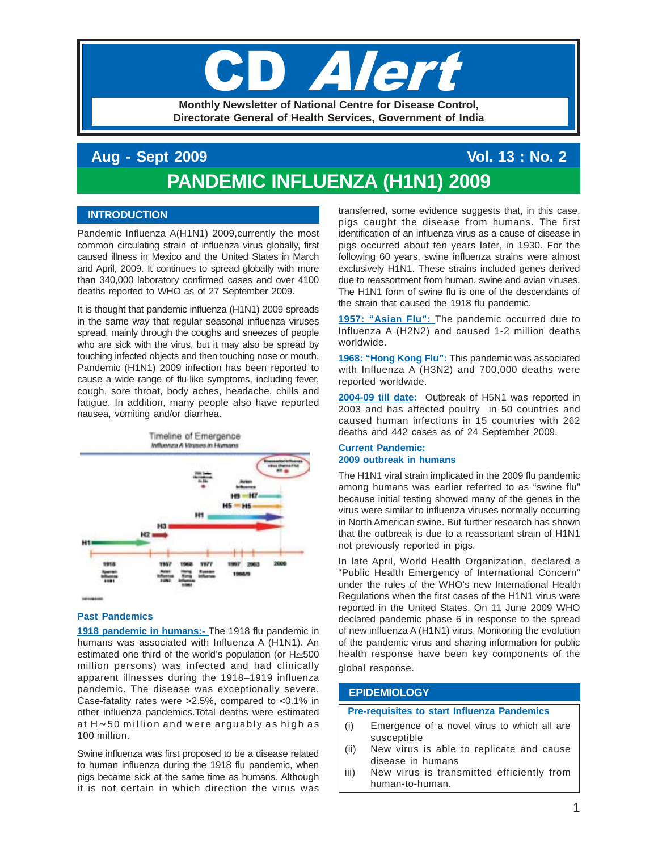# Iel

**Monthly Newsletter of National Centre for Disease Control, Directorate General of Health Services, Government of India**

# **Aug - Sept 2009 Vol. 13 : No. 2 PANDEMIC INFLUENZA (H1N1) 2009**

# **INTRODUCTION**

Pandemic Influenza A(H1N1) 2009, currently the most common circulating strain of influenza virus globally, first caused illness in Mexico and the United States in March and April, 2009. It continues to spread globally with more than 340,000 laboratory confirmed cases and over 4100 deaths reported to WHO as of 27 September 2009.

It is thought that pandemic influenza (H1N1) 2009 spreads in the same way that regular seasonal influenza viruses spread, mainly through the coughs and sneezes of people who are sick with the virus, but it may also be spread by touching infected objects and then touching nose or mouth. Pandemic (H1N1) 2009 infection has been reported to cause a wide range of flu-like symptoms, including fever, cough, sore throat, body aches, headache, chills and fatigue. In addition, many people also have reported nausea, vomiting and/or diarrhea.



# **Past Pandemics**

**1918 pandemic in humans:-** The 1918 flu pandemic in humans was associated with Influenza A (H1N1). An estimated one third of the world's population (or  $H \approx 500$ million persons) was infected and had clinically apparent illnesses during the 1918–1919 influenza pandemic. The disease was exceptionally severe. Case-fatality rates were >2.5%, compared to <0.1% in other influenza pandemics.Total deaths were estimated at  $H \simeq 50$  million and were arguably as high as 100 million.

Swine influenza was first proposed to be a disease related to human influenza during the 1918 flu pandemic, when pigs became sick at the same time as humans. Although it is not certain in which direction the virus was

transferred, some evidence suggests that, in this case, pigs caught the disease from humans. The first identification of an influenza virus as a cause of disease in pigs occurred about ten years later, in 1930. For the following 60 years, swine influenza strains were almost exclusively H1N1. These strains included genes derived due to reassortment from human, swine and avian viruses. The H1N1 form of swine flu is one of the descendants of the strain that caused the 1918 flu pandemic.

**1957: "Asian Flu":** The pandemic occurred due to Influenza A (H2N2) and caused 1-2 million deaths worldwide.

**1968: "Hong Kong Flu":** This pandemic was associated with Influenza A (H3N2) and 700,000 deaths were reported worldwide.

**2004-09 till date:** Outbreak of H5N1 was reported in 2003 and has affected poultry in 50 countries and caused human infections in 15 countries with 262 deaths and 442 cases as of 24 September 2009.

# **Current Pandemic: 2009 outbreak in humans**

The H1N1 viral strain implicated in the 2009 flu pandemic among humans was earlier referred to as "swine flu" because initial testing showed many of the genes in the virus were similar to influenza viruses normally occurring in North American swine. But further research has shown that the outbreak is due to a reassortant strain of H1N1 not previously reported in pigs.

In late April, World Health Organization, declared a "Public Health Emergency of International Concern" under the rules of the WHO's new International Health Regulations when the first cases of the H1N1 virus were reported in the United States. On 11 June 2009 WHO declared pandemic phase 6 in response to the spread of new influenza A (H1N1) virus. Monitoring the evolution of the pandemic virus and sharing information for public health response have been key components of the global response.

# **EPIDEMIOLOGY**

#### **Pre-requisites to start Influenza Pandemics**

- (i) Emergence of a novel virus to which all are susceptible
- (ii) New virus is able to replicate and cause disease in humans
- iii) New virus is transmitted efficiently from human-to-human.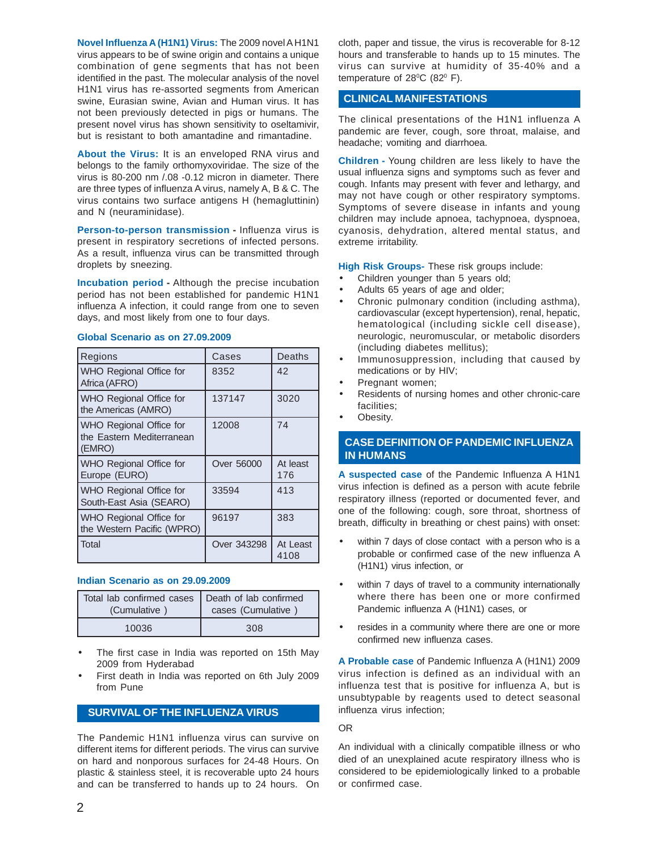**Novel Influenza A (H1N1) Virus:** The 2009 novel A H1N1 virus appears to be of swine origin and contains a unique combination of gene segments that has not been identified in the past. The molecular analysis of the novel H1N1 virus has re-assorted segments from American swine, Eurasian swine, Avian and Human virus. It has not been previously detected in pigs or humans. The present novel virus has shown sensitivity to oseltamivir, but is resistant to both amantadine and rimantadine.

**About the Virus:** It is an enveloped RNA virus and belongs to the family orthomyxoviridae. The size of the virus is 80-200 nm /.08 -0.12 micron in diameter. There are three types of influenza A virus, namely A, B & C. The virus contains two surface antigens H (hemagluttinin) and N (neuraminidase).

**Person-to-person transmission -** Influenza virus is present in respiratory secretions of infected persons. As a result, influenza virus can be transmitted through droplets by sneezing.

**Incubation period -** Although the precise incubation period has not been established for pandemic H1N1 influenza A infection, it could range from one to seven days, and most likely from one to four days.

| <b>Regions</b>                                                 | Cases       | Deaths          |
|----------------------------------------------------------------|-------------|-----------------|
| WHO Regional Office for<br>Africa (AFRO)                       | 8352        | 42              |
| WHO Regional Office for<br>the Americas (AMRO)                 | 137147      | 3020            |
| WHO Regional Office for<br>the Eastern Mediterranean<br>(EMRO) | 12008       | 74              |
| WHO Regional Office for<br>Europe (EURO)                       | Over 56000  | At least<br>176 |
| WHO Regional Office for<br>South-East Asia (SEARO)             | 33594       | 413             |
| WHO Regional Office for<br>the Western Pacific (WPRO)          | 96197       | 383             |
| l Total                                                        | Over 343298 | At Least        |

# **Global Scenario as on 27.09.2009**

# **Indian Scenario as on 29.09.2009**

| Total lab confirmed cases   Death of lab confirmed<br>(Cumulative | cases (Cumulative |  |  |
|-------------------------------------------------------------------|-------------------|--|--|
| 10036                                                             | 308               |  |  |

- The first case in India was reported on 15th May 2009 from Hyderabad
- First death in India was reported on 6th July 2009 from Pune

# **SURVIVAL OF THE INFLUENZA VIRUS**

The Pandemic H1N1 influenza virus can survive on different items for different periods. The virus can survive on hard and nonporous surfaces for 24-48 Hours. On plastic & stainless steel, it is recoverable upto 24 hours and can be transferred to hands up to 24 hours. On

cloth, paper and tissue, the virus is recoverable for 8-12 hours and transferable to hands up to 15 minutes. The virus can survive at humidity of 35-40% and a temperature of 28 $\mathrm{^0C}$  (82 $\mathrm{^0F}$ ).

# **CLINICAL MANIFESTATIONS**

The clinical presentations of the H1N1 influenza A pandemic are fever, cough, sore throat, malaise, and headache; vomiting and diarrhoea.

**Children -** Young children are less likely to have the usual influenza signs and symptoms such as fever and cough. Infants may present with fever and lethargy, and may not have cough or other respiratory symptoms. Symptoms of severe disease in infants and young children may include apnoea, tachypnoea, dyspnoea, cyanosis, dehydration, altered mental status, and extreme irritability.

**High Risk Groups-** These risk groups include:

- Children younger than 5 years old;
- Adults 65 years of age and older;
- Chronic pulmonary condition (including asthma), cardiovascular (except hypertension), renal, hepatic, hematological (including sickle cell disease), neurologic, neuromuscular, or metabolic disorders (including diabetes mellitus);
- Immunosuppression, including that caused by medications or by HIV;
- Pregnant women;
- Residents of nursing homes and other chronic-care facilities;
- Obesity.

# **CASE DEFINITION OF PANDEMIC INFLUENZA IN HUMANS**

**A suspected case** of the Pandemic Influenza A H1N1 virus infection is defined as a person with acute febrile respiratory illness (reported or documented fever, and one of the following: cough, sore throat, shortness of breath, difficulty in breathing or chest pains) with onset:

- within 7 days of close contact with a person who is a probable or confirmed case of the new influenza A (H1N1) virus infection, or
- within 7 days of travel to a community internationally where there has been one or more confirmed Pandemic influenza A (H1N1) cases, or
- resides in a community where there are one or more confirmed new influenza cases.

**A Probable case** of Pandemic Influenza A (H1N1) 2009 virus infection is defined as an individual with an influenza test that is positive for influenza A, but is unsubtypable by reagents used to detect seasonal influenza virus infection;

#### OR

An individual with a clinically compatible illness or who died of an unexplained acute respiratory illness who is considered to be epidemiologically linked to a probable or confirmed case.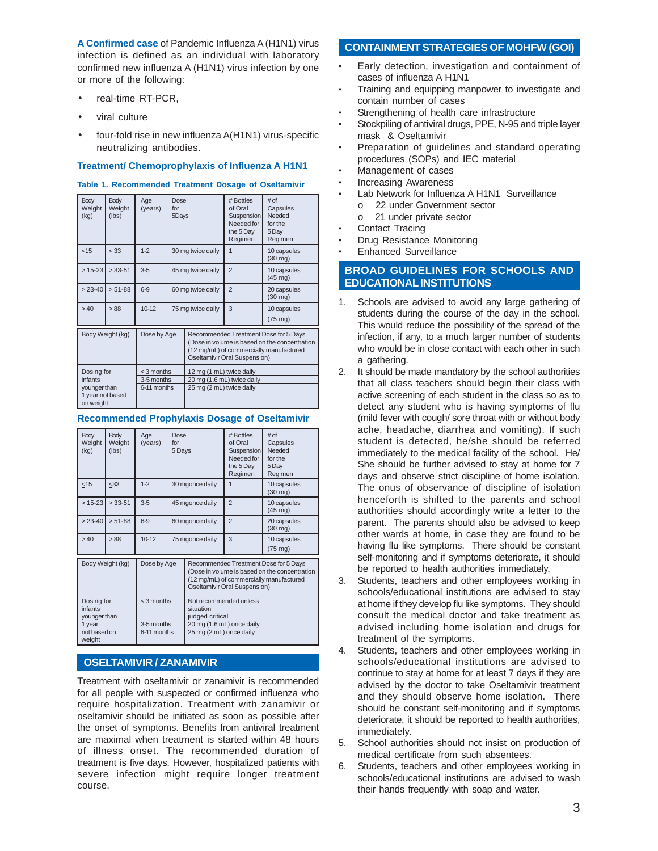**A Confirmed case** of Pandemic Influenza A (H1N1) virus infection is defined as an individual with laboratory confirmed new influenza A (H1N1) virus infection by one or more of the following:

- real-time RT-PCR,
- viral culture
- four-fold rise in new influenza A(H1N1) virus-specific neutralizing antibodies.

#### **Treatment/ Chemoprophylaxis of Influenza A H1N1**

#### **Table 1. Recommended Treatment Dosage of Oseltamivir**

| <b>Body</b><br>Weight<br>(kg)                                          | <b>Body</b><br>Weight<br>(lbs) | Age<br>(years)                          | Dose<br>for<br>5Days |                                                                                    | # Bottles<br>of Oral<br>Suspension<br>Needed for<br>the 5 Day<br>Regimen                                                                                          | # of<br>Capsules<br>Needed<br>for the<br>5Day<br>Regimen |  |
|------------------------------------------------------------------------|--------------------------------|-----------------------------------------|----------------------|------------------------------------------------------------------------------------|-------------------------------------------------------------------------------------------------------------------------------------------------------------------|----------------------------------------------------------|--|
| $<$ 15                                                                 | < 33                           | $1 - 2$                                 | 30 mg twice daily    |                                                                                    | $\mathbf{1}$                                                                                                                                                      | 10 capsules<br>$(30 \text{ mg})$                         |  |
| $> 15 - 23$                                                            | $> 33 - 51$                    | $3 - 5$                                 | 45 mg twice daily    |                                                                                    | $\overline{2}$                                                                                                                                                    | 10 capsules<br>$(45 \text{ mg})$                         |  |
| $> 23-40$                                                              | $> 51 - 88$                    | $6-9$                                   | 60 mg twice daily    |                                                                                    | $\overline{2}$                                                                                                                                                    | 20 capsules<br>$(30 \text{ mg})$                         |  |
| >40                                                                    | >88                            | $10-12$                                 | 75 mg twice daily    |                                                                                    | 3                                                                                                                                                                 | 10 capsules<br>$(75 \text{ mg})$                         |  |
|                                                                        | Body Weight (kg)               | Dose by Age                             |                      |                                                                                    | Recommended Treatment Dose for 5 Days<br>(Dose in volume is based on the concentration<br>(12 mg/mL) of commercially manufactured<br>Oseltamivir Oral Suspension) |                                                          |  |
| Dosing for<br>infants<br>younger than<br>1 year not based<br>on weight |                                | < 3 months<br>3-5 months<br>6-11 months |                      | 12 mg (1 mL) twice daily<br>20 mg (1.6 mL) twice daily<br>25 mg (2 mL) twice daily |                                                                                                                                                                   |                                                          |  |

#### **Recommended Prophylaxis Dosage of Oseltamivir**

| <b>Body</b><br>Weight<br>(kg)                         | <b>Body</b><br>Weight<br>(lbs) | Age<br>(years)            | Dose<br>for<br>5 Days                                  |                                                                                                                                                                   | # Bottles<br>of Oral<br>Suspension<br>Needed for<br>the 5 Day<br>Regimen | # of<br>Capsules<br>Needed<br>for the<br>5Dav<br>Regimen |  |
|-------------------------------------------------------|--------------------------------|---------------------------|--------------------------------------------------------|-------------------------------------------------------------------------------------------------------------------------------------------------------------------|--------------------------------------------------------------------------|----------------------------------------------------------|--|
| $<$ 15                                                | $<$ 33                         | $1-2$                     | 30 mgonce daily                                        |                                                                                                                                                                   | 1                                                                        | 10 capsules<br>$(30 \text{ mg})$                         |  |
| $> 15 - 23$                                           | $> 33 - 51$                    | $3 - 5$                   | 45 mgonce daily                                        |                                                                                                                                                                   | $\overline{2}$                                                           | 10 capsules<br>$(45 \text{ mg})$                         |  |
| $> 23-40$                                             | $> 51-88$                      | $6 - 9$                   | 60 mgonce daily                                        |                                                                                                                                                                   | $\overline{2}$                                                           | 20 capsules<br>$(30 \text{ mg})$                         |  |
| >40                                                   | >88                            | $10 - 12$                 | 75 mgonce daily                                        |                                                                                                                                                                   | 3                                                                        | 10 capsules<br>$(75 \text{ mg})$                         |  |
| Body Weight (kg)                                      |                                | Dose by Age               |                                                        | Recommended Treatment Dose for 5 Days<br>(Dose in volume is based on the concentration<br>(12 mg/mL) of commercially manufactured<br>Oseltamivir Oral Suspension) |                                                                          |                                                          |  |
| $<$ 3 months<br>Dosing for<br>infants<br>younger than |                                |                           | Not recommended unless<br>situation<br>judged critical |                                                                                                                                                                   |                                                                          |                                                          |  |
| 1 year<br>not based on<br>weight                      |                                | 3-5 months<br>6-11 months | 25 mg (2 mL) once daily                                |                                                                                                                                                                   | 20 mg (1.6 mL) once daily                                                |                                                          |  |

# **OSELTAMIVIR / ZANAMIVIR**

Treatment with oseltamivir or zanamivir is recommended for all people with suspected or confirmed influenza who require hospitalization. Treatment with zanamivir or oseltamivir should be initiated as soon as possible after the onset of symptoms. Benefits from antiviral treatment are maximal when treatment is started within 48 hours of illness onset. The recommended duration of treatment is five days. However, hospitalized patients with severe infection might require longer treatment course.

# **CONTAINMENT STRATEGIES OF MOHFW (GOI)**

- Early detection, investigation and containment of cases of influenza A H1N1
- Training and equipping manpower to investigate and contain number of cases
- Strengthening of health care infrastructure
- Stockpiling of antiviral drugs, PPE, N-95 and triple layer mask & Oseltamivir
- Preparation of guidelines and standard operating procedures (SOPs) and IEC material
- Management of cases
- Increasing Awareness
- Lab Network for Influenza A H1N1 Surveillance o 22 under Government sector
	- o 21 under private sector
- Contact Tracing
- Drug Resistance Monitoring
- Enhanced Surveillance

# **BROAD GUIDELINES FOR SCHOOLS AND EDUCATIONAL INSTITUTIONS**

- 1. Schools are advised to avoid any large gathering of students during the course of the day in the school. This would reduce the possibility of the spread of the infection, if any, to a much larger number of students who would be in close contact with each other in such a gathering.
- 2. It should be made mandatory by the school authorities that all class teachers should begin their class with active screening of each student in the class so as to detect any student who is having symptoms of flu (mild fever with cough/ sore throat with or without body ache, headache, diarrhea and vomiting). If such student is detected, he/she should be referred immediately to the medical facility of the school. He/ She should be further advised to stay at home for 7 days and observe strict discipline of home isolation. The onus of observance of discipline of isolation henceforth is shifted to the parents and school authorities should accordingly write a letter to the parent. The parents should also be advised to keep other wards at home, in case they are found to be having flu like symptoms. There should be constant self-monitoring and if symptoms deteriorate, it should be reported to health authorities immediately.
- 3. Students, teachers and other employees working in schools/educational institutions are advised to stay at home if they develop flu like symptoms. They should consult the medical doctor and take treatment as advised including home isolation and drugs for treatment of the symptoms.
- 4. Students, teachers and other employees working in schools/educational institutions are advised to continue to stay at home for at least 7 days if they are advised by the doctor to take Oseltamivir treatment and they should observe home isolation. There should be constant self-monitoring and if symptoms deteriorate, it should be reported to health authorities, immediately.
- 5. School authorities should not insist on production of medical certificate from such absentees.
- 6. Students, teachers and other employees working in schools/educational institutions are advised to wash their hands frequently with soap and water.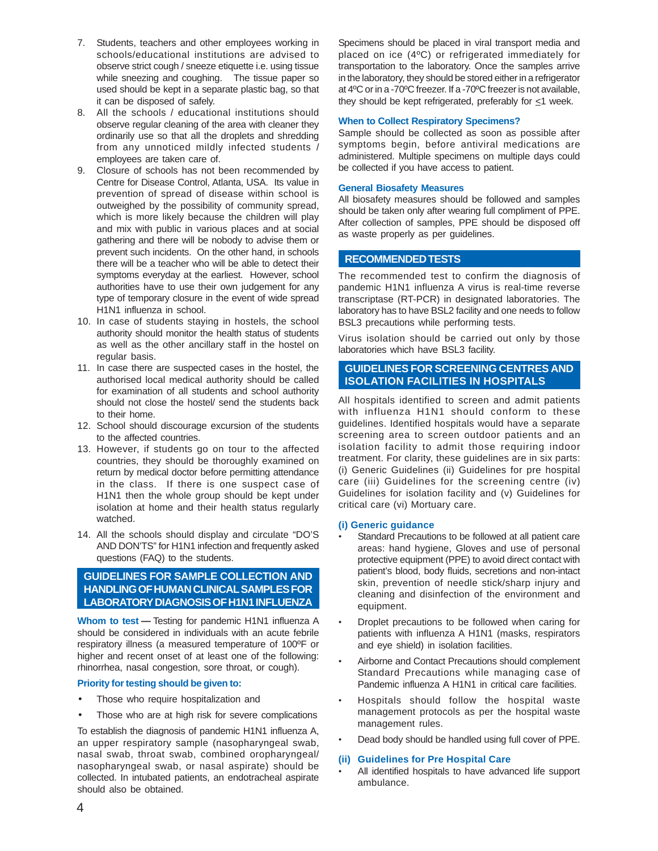- 7. Students, teachers and other employees working in schools/educational institutions are advised to observe strict cough / sneeze etiquette i.e. using tissue while sneezing and coughing. The tissue paper so used should be kept in a separate plastic bag, so that it can be disposed of safely.
- 8. All the schools / educational institutions should observe regular cleaning of the area with cleaner they ordinarily use so that all the droplets and shredding from any unnoticed mildly infected students / employees are taken care of.
- 9. Closure of schools has not been recommended by Centre for Disease Control, Atlanta, USA. Its value in prevention of spread of disease within school is outweighed by the possibility of community spread, which is more likely because the children will play and mix with public in various places and at social gathering and there will be nobody to advise them or prevent such incidents. On the other hand, in schools there will be a teacher who will be able to detect their symptoms everyday at the earliest. However, school authorities have to use their own judgement for any type of temporary closure in the event of wide spread H1N1 influenza in school.
- 10. In case of students staying in hostels, the school authority should monitor the health status of students as well as the other ancillary staff in the hostel on regular basis.
- 11. In case there are suspected cases in the hostel, the authorised local medical authority should be called for examination of all students and school authority should not close the hostel/ send the students back to their home.
- 12. School should discourage excursion of the students to the affected countries.
- 13. However, if students go on tour to the affected countries, they should be thoroughly examined on return by medical doctor before permitting attendance in the class. If there is one suspect case of H1N1 then the whole group should be kept under isolation at home and their health status regularly watched.
- 14. All the schools should display and circulate "DO'S AND DON'TS" for H1N1 infection and frequently asked questions (FAQ) to the students.

# **GUIDELINES FOR SAMPLE COLLECTION AND HANDLING OF HUMAN CLINICAL SAMPLES FOR LABORATORY DIAGNOSIS OF H1N1 INFLUENZA**

**Whom to test —** Testing for pandemic H1N1 influenza A should be considered in individuals with an acute febrile respiratory illness (a measured temperature of 100ºF or higher and recent onset of at least one of the following: rhinorrhea, nasal congestion, sore throat, or cough).

# **Priority for testing should be given to:**

- Those who require hospitalization and
- Those who are at high risk for severe complications

To establish the diagnosis of pandemic H1N1 influenza A, an upper respiratory sample (nasopharyngeal swab, nasal swab, throat swab, combined oropharyngeal/ nasopharyngeal swab, or nasal aspirate) should be collected. In intubated patients, an endotracheal aspirate should also be obtained.

Specimens should be placed in viral transport media and placed on ice (4ºC) or refrigerated immediately for transportation to the laboratory. Once the samples arrive in the laboratory, they should be stored either in a refrigerator at 4ºC or in a -70ºC freezer. If a -70ºC freezer is not available, they should be kept refrigerated, preferably for  $\leq$ 1 week.

#### **When to Collect Respiratory Specimens?**

Sample should be collected as soon as possible after symptoms begin, before antiviral medications are administered. Multiple specimens on multiple days could be collected if you have access to patient.

#### **General Biosafety Measures**

All biosafety measures should be followed and samples should be taken only after wearing full compliment of PPE. After collection of samples, PPE should be disposed off as waste properly as per guidelines.

# **RECOMMENDED TESTS**

The recommended test to confirm the diagnosis of pandemic H1N1 influenza A virus is real-time reverse transcriptase (RT-PCR) in designated laboratories. The laboratory has to have BSL2 facility and one needs to follow BSL3 precautions while performing tests.

Virus isolation should be carried out only by those laboratories which have BSL3 facility.

# **GUIDELINES FOR SCREENING CENTRES AND ISOLATION FACILITIES IN HOSPITALS**

All hospitals identified to screen and admit patients with influenza H1N1 should conform to these guidelines. Identified hospitals would have a separate screening area to screen outdoor patients and an isolation facility to admit those requiring indoor treatment. For clarity, these guidelines are in six parts: (i) Generic Guidelines (ii) Guidelines for pre hospital care (iii) Guidelines for the screening centre (iv) Guidelines for isolation facility and (v) Guidelines for critical care (vi) Mortuary care.

# **(i) Generic guidance**

- Standard Precautions to be followed at all patient care areas: hand hygiene, Gloves and use of personal protective equipment (PPE) to avoid direct contact with patient's blood, body fluids, secretions and non-intact skin, prevention of needle stick/sharp injury and cleaning and disinfection of the environment and equipment.
- Droplet precautions to be followed when caring for patients with influenza A H1N1 (masks, respirators and eye shield) in isolation facilities.
- Airborne and Contact Precautions should complement Standard Precautions while managing case of Pandemic influenza A H1N1 in critical care facilities.
- Hospitals should follow the hospital waste management protocols as per the hospital waste management rules.
- Dead body should be handled using full cover of PPE.

#### **(ii) Guidelines for Pre Hospital Care**

All identified hospitals to have advanced life support ambulance.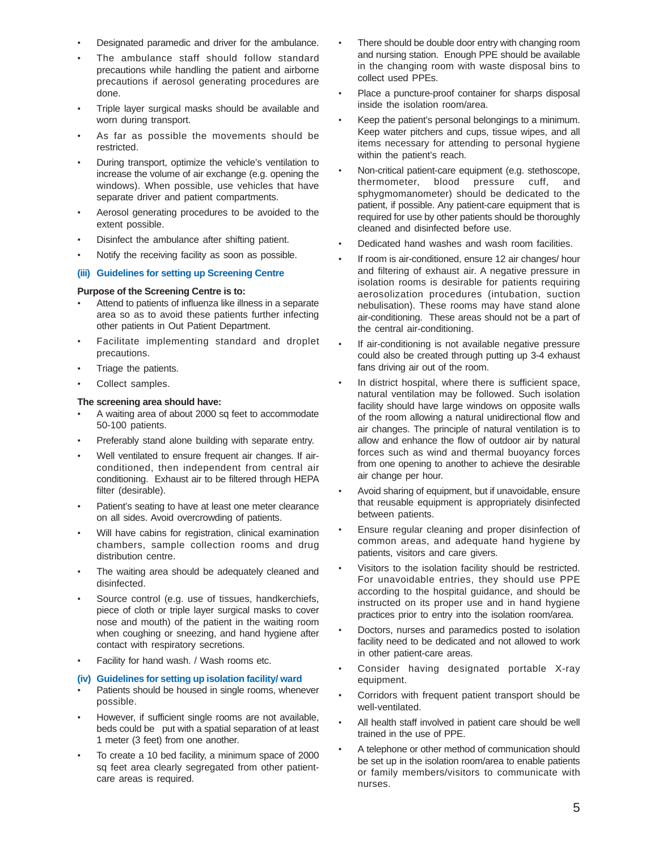- Designated paramedic and driver for the ambulance.
- The ambulance staff should follow standard precautions while handling the patient and airborne precautions if aerosol generating procedures are done.
- Triple layer surgical masks should be available and worn during transport.
- As far as possible the movements should be restricted.
- During transport, optimize the vehicle's ventilation to increase the volume of air exchange (e.g. opening the windows). When possible, use vehicles that have separate driver and patient compartments.
- Aerosol generating procedures to be avoided to the extent possible.
- Disinfect the ambulance after shifting patient.
- Notify the receiving facility as soon as possible.

# **(iii) Guidelines for setting up Screening Centre**

#### **Purpose of the Screening Centre is to:**

- Attend to patients of influenza like illness in a separate area so as to avoid these patients further infecting other patients in Out Patient Department.
- Facilitate implementing standard and droplet precautions.
- Triage the patients.
- Collect samples.

# **The screening area should have:**

- A waiting area of about 2000 sq feet to accommodate 50-100 patients.
- Preferably stand alone building with separate entry.
- Well ventilated to ensure frequent air changes. If airconditioned, then independent from central air conditioning. Exhaust air to be filtered through HEPA filter (desirable).
- Patient's seating to have at least one meter clearance on all sides. Avoid overcrowding of patients.
- Will have cabins for registration, clinical examination chambers, sample collection rooms and drug distribution centre.
- The waiting area should be adequately cleaned and disinfected.
- Source control (e.g. use of tissues, handkerchiefs, piece of cloth or triple layer surgical masks to cover nose and mouth) of the patient in the waiting room when coughing or sneezing, and hand hygiene after contact with respiratory secretions.
- Facility for hand wash. / Wash rooms etc.

# **(iv) Guidelines for setting up isolation facility/ ward**

- Patients should be housed in single rooms, whenever possible.
- However, if sufficient single rooms are not available, beds could be put with a spatial separation of at least 1 meter (3 feet) from one another.
- To create a 10 bed facility, a minimum space of 2000 sq feet area clearly segregated from other patientcare areas is required.
- There should be double door entry with changing room and nursing station. Enough PPE should be available in the changing room with waste disposal bins to collect used PPEs.
- Place a puncture-proof container for sharps disposal inside the isolation room/area.
- Keep the patient's personal belongings to a minimum. Keep water pitchers and cups, tissue wipes, and all items necessary for attending to personal hygiene within the patient's reach.
- Non-critical patient-care equipment (e.g. stethoscope, thermometer, blood pressure cuff, and sphygmomanometer) should be dedicated to the patient, if possible. Any patient-care equipment that is required for use by other patients should be thoroughly cleaned and disinfected before use.
- Dedicated hand washes and wash room facilities.
- If room is air-conditioned, ensure 12 air changes/ hour and filtering of exhaust air. A negative pressure in isolation rooms is desirable for patients requiring aerosolization procedures (intubation, suction nebulisation). These rooms may have stand alone air-conditioning. These areas should not be a part of the central air-conditioning.
- If air-conditioning is not available negative pressure could also be created through putting up 3-4 exhaust fans driving air out of the room.
- In district hospital, where there is sufficient space, natural ventilation may be followed. Such isolation facility should have large windows on opposite walls of the room allowing a natural unidirectional flow and air changes. The principle of natural ventilation is to allow and enhance the flow of outdoor air by natural forces such as wind and thermal buoyancy forces from one opening to another to achieve the desirable air change per hour.
- Avoid sharing of equipment, but if unavoidable, ensure that reusable equipment is appropriately disinfected between patients.
- Ensure regular cleaning and proper disinfection of common areas, and adequate hand hygiene by patients, visitors and care givers.
- Visitors to the isolation facility should be restricted. For unavoidable entries, they should use PPE according to the hospital guidance, and should be instructed on its proper use and in hand hygiene practices prior to entry into the isolation room/area.
- Doctors, nurses and paramedics posted to isolation facility need to be dedicated and not allowed to work in other patient-care areas.
- Consider having designated portable X-ray equipment.
- Corridors with frequent patient transport should be well-ventilated.
- All health staff involved in patient care should be well trained in the use of PPE.
- A telephone or other method of communication should be set up in the isolation room/area to enable patients or family members/visitors to communicate with nurses.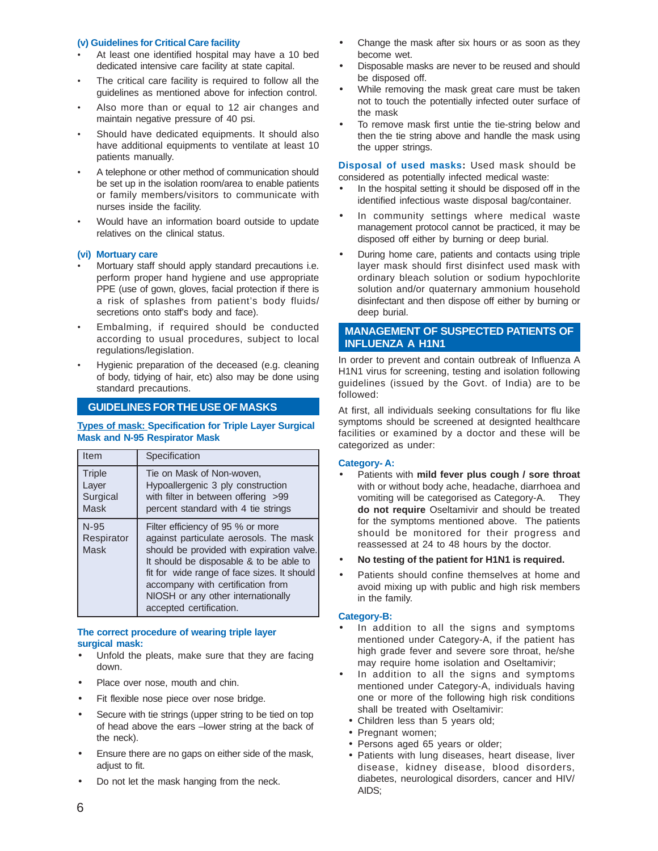#### **(v) Guidelines for Critical Care facility**

- At least one identified hospital may have a 10 bed dedicated intensive care facility at state capital.
- The critical care facility is required to follow all the guidelines as mentioned above for infection control.
- Also more than or equal to 12 air changes and maintain negative pressure of 40 psi.
- Should have dedicated equipments. It should also have additional equipments to ventilate at least 10 patients manually.
- A telephone or other method of communication should be set up in the isolation room/area to enable patients or family members/visitors to communicate with nurses inside the facility.
- Would have an information board outside to update relatives on the clinical status.

#### **(vi) Mortuary care**

- Mortuary staff should apply standard precautions i.e. perform proper hand hygiene and use appropriate PPE (use of gown, gloves, facial protection if there is a risk of splashes from patient's body fluids/ secretions onto staff's body and face).
- Embalming, if required should be conducted according to usual procedures, subject to local regulations/legislation.
- Hygienic preparation of the deceased (e.g. cleaning of body, tidying of hair, etc) also may be done using standard precautions.

# **GUIDELINES FOR THE USE OF MASKS**

#### **Types of mask: Specification for Triple Layer Surgical Mask and N-95 Respirator Mask**

| Item                                       | Specification                                                                                                                                                                                                                                                                                                            |
|--------------------------------------------|--------------------------------------------------------------------------------------------------------------------------------------------------------------------------------------------------------------------------------------------------------------------------------------------------------------------------|
| <b>Triple</b><br>Layer<br>Surgical<br>Mask | Tie on Mask of Non-woven.<br>Hypoallergenic 3 ply construction<br>with filter in between offering >99<br>percent standard with 4 tie strings                                                                                                                                                                             |
| $N-95$<br>Respirator<br>Mask               | Filter efficiency of 95 % or more<br>against particulate aerosols. The mask<br>should be provided with expiration valve.<br>It should be disposable & to be able to<br>fit for wide range of face sizes. It should<br>accompany with certification from<br>NIOSH or any other internationally<br>accepted certification. |

# **The correct procedure of wearing triple layer surgical mask:**

- Unfold the pleats, make sure that they are facing down.
- Place over nose, mouth and chin.
- Fit flexible nose piece over nose bridge.
- Secure with tie strings (upper string to be tied on top of head above the ears –lower string at the back of the neck).
- Ensure there are no gaps on either side of the mask, adjust to fit.
- Do not let the mask hanging from the neck.
- Change the mask after six hours or as soon as they become wet.
- Disposable masks are never to be reused and should be disposed off.
- While removing the mask great care must be taken not to touch the potentially infected outer surface of the mask
- To remove mask first untie the tie-string below and then the tie string above and handle the mask using the upper strings.

**Disposal of used masks:** Used mask should be considered as potentially infected medical waste:

- In the hospital setting it should be disposed off in the identified infectious waste disposal bag/container.
- In community settings where medical waste management protocol cannot be practiced, it may be disposed off either by burning or deep burial.
- During home care, patients and contacts using triple layer mask should first disinfect used mask with ordinary bleach solution or sodium hypochlorite solution and/or quaternary ammonium household disinfectant and then dispose off either by burning or deep burial.

# **MANAGEMENT OF SUSPECTED PATIENTS OF INFLUENZA A H1N1**

In order to prevent and contain outbreak of Influenza A H1N1 virus for screening, testing and isolation following guidelines (issued by the Govt. of India) are to be followed:

At first, all individuals seeking consultations for flu like symptoms should be screened at designted healthcare facilities or examined by a doctor and these will be categorized as under:

#### **Category- A:**

- Patients with **mild fever plus cough / sore throat** with or without body ache, headache, diarrhoea and vomiting will be categorised as Category-A. They **do not require** Oseltamivir and should be treated for the symptoms mentioned above. The patients should be monitored for their progress and reassessed at 24 to 48 hours by the doctor.
- **No testing of the patient for H1N1 is required.**
- Patients should confine themselves at home and avoid mixing up with public and high risk members in the family.

#### **Category-B:**

- In addition to all the signs and symptoms mentioned under Category-A, if the patient has high grade fever and severe sore throat, he/she may require home isolation and Oseltamivir;
- In addition to all the signs and symptoms mentioned under Category-A, individuals having one or more of the following high risk conditions shall be treated with Oseltamivir:
	- Children less than 5 years old;
	- Pregnant women;
	- Persons aged 65 years or older;
- Patients with lung diseases, heart disease, liver disease, kidney disease, blood disorders, diabetes, neurological disorders, cancer and HIV/ AIDS;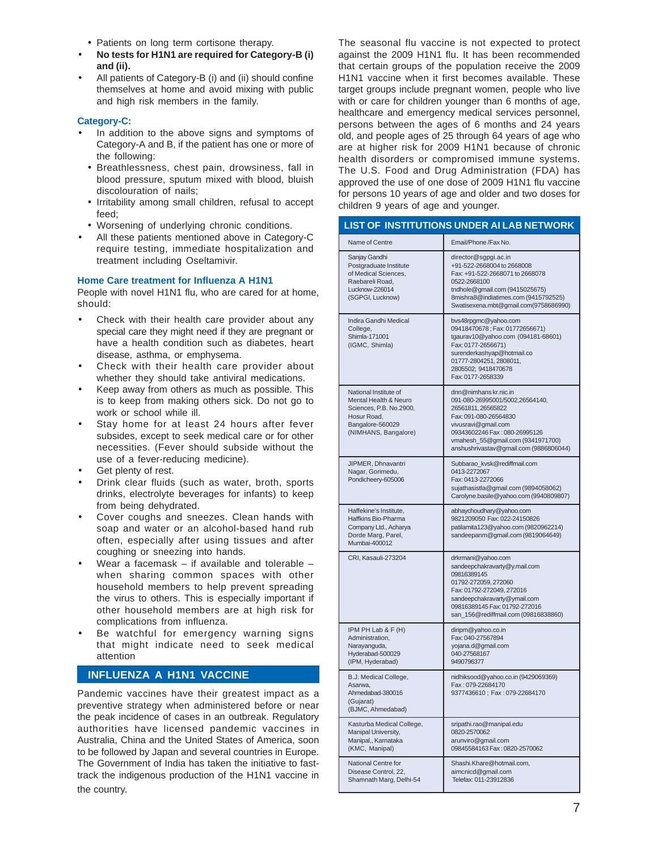- Patients on long term cortisone therapy.
- **No tests for H1N1 are required for Category-B (i) and (ii).**
- All patients of Category-B (i) and (ii) should confine themselves at home and avoid mixing with public and high risk members in the family.

# **Category-C:**

- In addition to the above signs and symptoms of Category-A and B, if the patient has one or more of the following:
- Breathlessness, chest pain, drowsiness, fall in blood pressure, sputum mixed with blood, bluish discolouration of nails;
- Irritability among small children, refusal to accept feed;
- Worsening of underlying chronic conditions.
- All these patients mentioned above in Category-C require testing, immediate hospitalization and treatment including Oseltamivir.

#### **Home Care treatment for Influenza A H1N1**

People with novel H1N1 flu, who are cared for at home, should:

- Check with their health care provider about any special care they might need if they are pregnant or have a health condition such as diabetes, heart disease, asthma, or emphysema.
- Check with their health care provider about whether they should take antiviral medications.
- Keep away from others as much as possible. This is to keep from making others sick. Do not go to work or school while ill.
- Stay home for at least 24 hours after fever subsides, except to seek medical care or for other necessities. (Fever should subside without the use of a fever-reducing medicine).
- Get plenty of rest.
- Drink clear fluids (such as water, broth, sports drinks, electrolyte beverages for infants) to keep from being dehydrated.
- Cover coughs and sneezes. Clean hands with soap and water or an alcohol-based hand rub often, especially after using tissues and after coughing or sneezing into hands.
- Wear a facemask  $-$  if available and tolerable  $$ when sharing common spaces with other household members to help prevent spreading the virus to others. This is especially important if other household members are at high risk for complications from influenza.
- Be watchful for emergency warning signs that might indicate need to seek medical attention

# **INFLUENZA A H1N1 VACCINE**

Pandemic vaccines have their greatest impact as a preventive strategy when administered before or near the peak incidence of cases in an outbreak. Regulatory authorities have licensed pandemic vaccines in Australia, China and the United States of America, soon to be followed by Japan and several countries in Europe. The Government of India has taken the initiative to fasttrack the indigenous production of the H1N1 vaccine in the country.

The seasonal flu vaccine is not expected to protect against the 2009 H1N1 flu. It has been recommended that certain groups of the population receive the 2009 H1N1 vaccine when it first becomes available. These target groups include pregnant women, people who live with or care for children younger than 6 months of age, healthcare and emergency medical services personnel, persons between the ages of 6 months and 24 years old, and people ages of 25 through 64 years of age who are at higher risk for 2009 H1N1 because of chronic health disorders or compromised immune systems. The U.S. Food and Drug Administration (FDA) has approved the use of one dose of 2009 H1N1 flu vaccine for persons 10 years of age and older and two doses for children 9 years of age and younger.

| Name of Centre                                                                                                                       | Email/Phone /Fax No.                                                                                                                                                                                                                           |
|--------------------------------------------------------------------------------------------------------------------------------------|------------------------------------------------------------------------------------------------------------------------------------------------------------------------------------------------------------------------------------------------|
| Sanjay Gandhi<br>Postgraduate Institute<br>of Medical Sciences,<br>Raebareli Road,<br>Lucknow-226014<br>(SGPGI, Lucknow)             | director@sgpgi.ac.in<br>+91-522-2668004 to 2668008<br>Fax: +91-522-2668071 to 2668078<br>0522-2668100<br>tndhole@gmail.com (9415025675)<br>8mishra8@indiatimes.com (9415792525)<br>Swatisexena.mbt@gmail.com(9758686990)                       |
| Indira Gandhi Medical<br>College,<br>Shimla-171001<br>(IGMC, Shimla)                                                                 | bvs48rpgmc@yahoo.com<br>09418470678; Fax: 01772656671)<br>tgaurav10@yahoo.com (094181-68601)<br>Fax: 0177-2656671)<br>surenderkashyap@hotmail.co<br>01777-2804251, 2808011,<br>2805502; 9418470678<br>Fax: 0177-2658339                        |
| National Institute of<br>Mental Health & Neuro<br>Sciences, P.B. No.2900,<br>Hosur Road,<br>Bangalore-560029<br>(NIMHANS, Bangalore) | dnn@nimhans kr.nic.in<br>091-080-26995001/5002,26564140,<br>26561811, 26565822<br>Fax: 091-080-26564830<br>vivusravi@gmail.com<br>09343602246 Fax: 080-26995126<br>vmahesh_55@gmail.com (9341971700)<br>anshushrivastav@gmail.com (9886806044) |
| JIPMER, Dhnavantri<br>Nagar, Gorimedu,<br>Pondicheery-605006                                                                         | Subbarao_kvsk@rediffmail.com<br>0413-2272067<br>Fax: 0413-2272066<br>sujathasistla@gmail.com (9894058062)<br>Carolyne.basile@yahoo.com (9940809807)                                                                                            |
| Haffekine's Institute.<br>Haffkins Bio-Pharma<br>Company Ltd., Acharya<br>Dorde Marg, Parel,<br>Mumbai-400012                        | abhaychoudhary@yahoo.com<br>9821209050 Fax: 022-24150826<br>patilamita123@yahoo.com (9820962214)<br>sandeepanm@gmail.com (9819064649)                                                                                                          |
| CRI, Kasauli-273204                                                                                                                  | drkrmani@yahoo.com<br>sandeepchakravarty@y.mail.com<br>09816389145<br>01792-272059, 272060<br>Fax: 01792-272049, 272016<br>sandeepchakravarty@ymail.com<br>09816389145 Fax: 01792-272016<br>san_156@rediffmail.com (09816838860)               |
| IPM PH Lab & F (H)<br>Administration,<br>Narayanguda,<br>Hyderabad-500029<br>(IPM, Hyderabad)                                        | diripm@yahoo.co.in<br>Fax: 040-27567894<br>yojana.d@gmail.com<br>040-27568167<br>9490796377                                                                                                                                                    |
| B.J. Medical College,<br>Asarwa,<br>Ahmedabad-380016<br>(Gujarat)<br>(BJMC, Ahmedabad)                                               | nidhiksood@yahoo.co.in (9429069369)<br>Fax: 079-22684170<br>9377436610; Fax: 079-22684170                                                                                                                                                      |
| Kasturba Medical College,<br>Manipal University,<br>Manipal,, Karnataka<br>(KMC, Manipal)                                            | sripathi.rao@manipal.edu<br>0820-2570062<br>arunviro@gmail.com<br>09845584163 Fax: 0820-2570062                                                                                                                                                |
| National Centre for<br>Disease Control, 22,<br>Shamnath Marg, Delhi-54                                                               | Shashi.Khare@hotmail.com,<br>aimcnicd@gmail.com<br>Telefax: 011-23912836                                                                                                                                                                       |

# **LIST OF INSTITUTIONS UNDER AI LAB NETWORK**